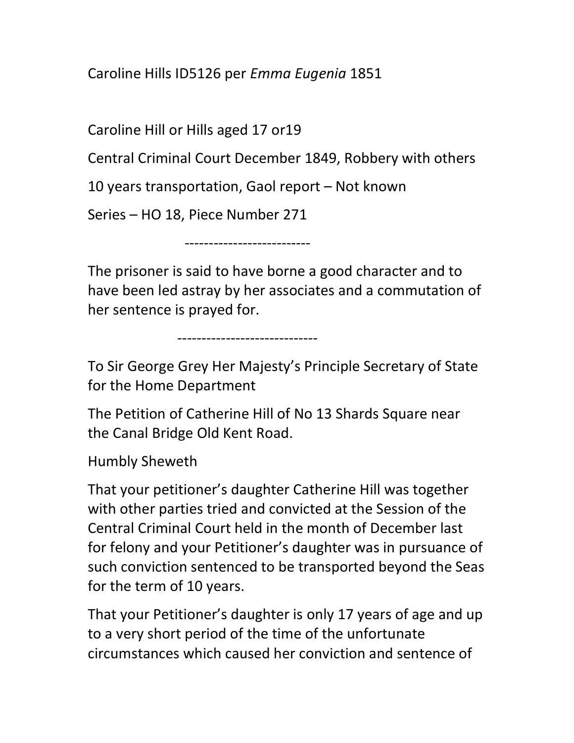Caroline Hills ID5126 per Emma Eugenia 1851

Caroline Hill or Hills aged 17 or19

Central Criminal Court December 1849, Robbery with others

10 years transportation, Gaol report – Not known

Series – HO 18, Piece Number 271

--------------------------

The prisoner is said to have borne a good character and to have been led astray by her associates and a commutation of her sentence is prayed for.

-----------------------------

To Sir George Grey Her Majesty's Principle Secretary of State for the Home Department

The Petition of Catherine Hill of No 13 Shards Square near the Canal Bridge Old Kent Road.

Humbly Sheweth

That your petitioner's daughter Catherine Hill was together with other parties tried and convicted at the Session of the Central Criminal Court held in the month of December last for felony and your Petitioner's daughter was in pursuance of such conviction sentenced to be transported beyond the Seas for the term of 10 years.

That your Petitioner's daughter is only 17 years of age and up to a very short period of the time of the unfortunate circumstances which caused her conviction and sentence of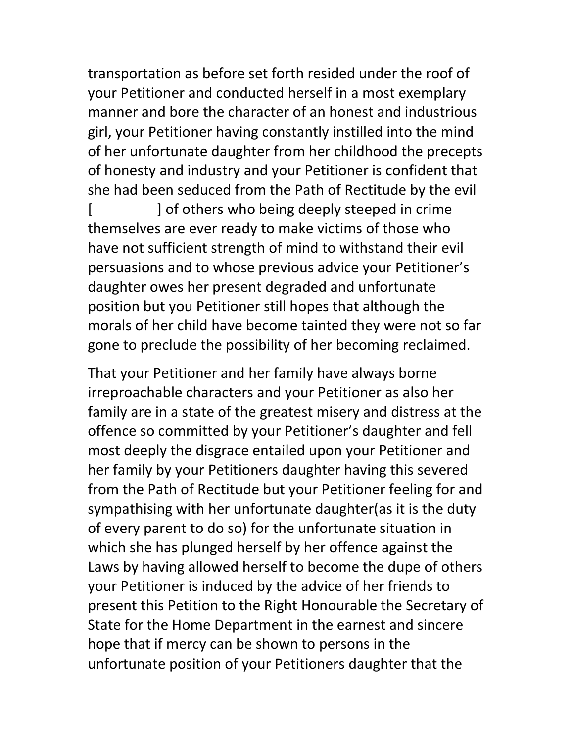transportation as before set forth resided under the roof of your Petitioner and conducted herself in a most exemplary manner and bore the character of an honest and industrious girl, your Petitioner having constantly instilled into the mind of her unfortunate daughter from her childhood the precepts of honesty and industry and your Petitioner is confident that she had been seduced from the Path of Rectitude by the evil

[ ] of others who being deeply steeped in crime themselves are ever ready to make victims of those who have not sufficient strength of mind to withstand their evil persuasions and to whose previous advice your Petitioner's daughter owes her present degraded and unfortunate position but you Petitioner still hopes that although the morals of her child have become tainted they were not so far gone to preclude the possibility of her becoming reclaimed.

That your Petitioner and her family have always borne irreproachable characters and your Petitioner as also her family are in a state of the greatest misery and distress at the offence so committed by your Petitioner's daughter and fell most deeply the disgrace entailed upon your Petitioner and her family by your Petitioners daughter having this severed from the Path of Rectitude but your Petitioner feeling for and sympathising with her unfortunate daughter(as it is the duty of every parent to do so) for the unfortunate situation in which she has plunged herself by her offence against the Laws by having allowed herself to become the dupe of others your Petitioner is induced by the advice of her friends to present this Petition to the Right Honourable the Secretary of State for the Home Department in the earnest and sincere hope that if mercy can be shown to persons in the unfortunate position of your Petitioners daughter that the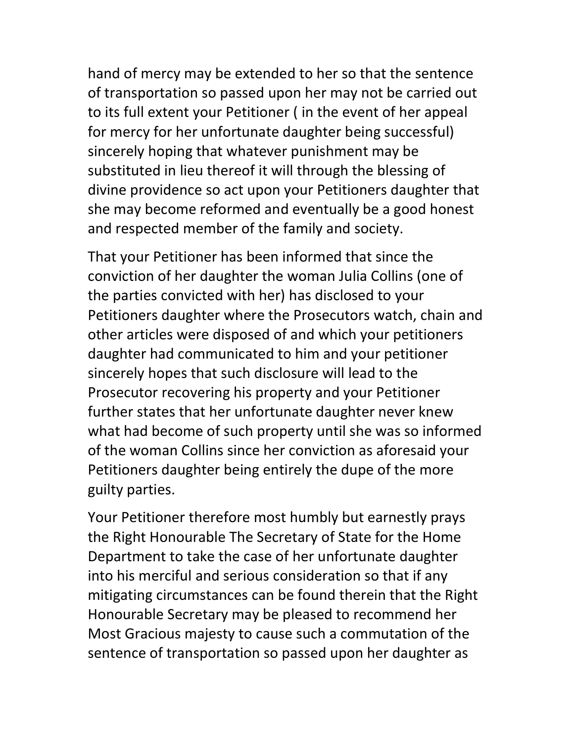hand of mercy may be extended to her so that the sentence of transportation so passed upon her may not be carried out to its full extent your Petitioner ( in the event of her appeal for mercy for her unfortunate daughter being successful) sincerely hoping that whatever punishment may be substituted in lieu thereof it will through the blessing of divine providence so act upon your Petitioners daughter that she may become reformed and eventually be a good honest and respected member of the family and society.

That your Petitioner has been informed that since the conviction of her daughter the woman Julia Collins (one of the parties convicted with her) has disclosed to your Petitioners daughter where the Prosecutors watch, chain and other articles were disposed of and which your petitioners daughter had communicated to him and your petitioner sincerely hopes that such disclosure will lead to the Prosecutor recovering his property and your Petitioner further states that her unfortunate daughter never knew what had become of such property until she was so informed of the woman Collins since her conviction as aforesaid your Petitioners daughter being entirely the dupe of the more guilty parties.

Your Petitioner therefore most humbly but earnestly prays the Right Honourable The Secretary of State for the Home Department to take the case of her unfortunate daughter into his merciful and serious consideration so that if any mitigating circumstances can be found therein that the Right Honourable Secretary may be pleased to recommend her Most Gracious majesty to cause such a commutation of the sentence of transportation so passed upon her daughter as